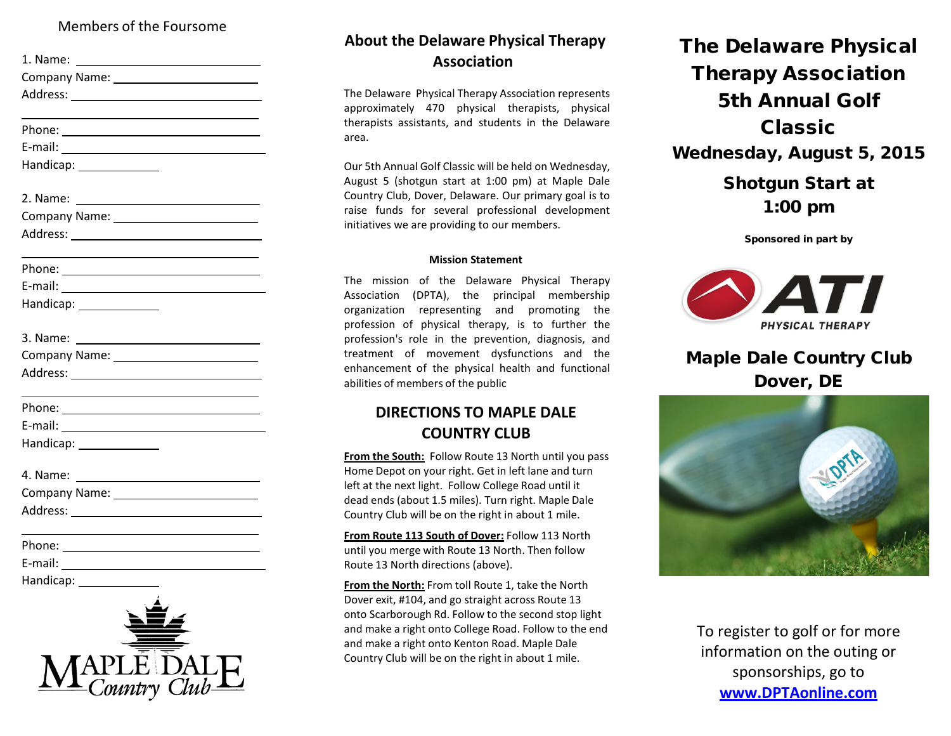#### Members of the Foursome

| 1. Name:      |  |
|---------------|--|
| Company Name: |  |
| Address:      |  |

Phone:

E-mail: Handicap:

| 2. Name:      |  |
|---------------|--|
| Company Name: |  |
| Address:      |  |

Phone: The contract of the contract of the contract of the contract of the contract of the contract of the contract of the contract of the contract of the contract of the contract of the contract of the contract of the con

E-mail:

Handicap: 2000

| 3. Name:      |  |
|---------------|--|
| Company Name: |  |
| Address:      |  |

Phone: <u>\_\_\_\_\_\_\_\_\_\_\_\_\_\_\_\_\_\_\_\_\_\_</u>

E-mail:

Handicap: 2000

Company Name: Address:

Phone:

E-mail:

Handicap:



## **About the Delaware Physical Therapy Association**

The Delaware Physical Therapy Association represents approximately 470 physical therapists, physical therapists assistants, and students in the Delaware area.

Our 5th Annual Golf Classic will be held on Wednesday, August 5 (shotgun start at 1:00 pm) at Maple Dale Country Club, Dover, Delaware. Our primary goal is to raise funds for several professional development initiatives we are providing to our members.

#### **Mission Statement**

The mission of the Delaware Physical Therapy Association (DPTA), the principal membership organization representing and promoting the profession of physical therapy, is to further the profession's role in the prevention, diagnosis, and treatment of movement dysfunctions and the enhancement of the physical health and functional abilities of members of the public

### **DIRECTIONS TO MAPLE DALE COUNTRY CLUB**

**From the South:** Follow Route 13 North until you pass Home Depot on your right. Get in left lane and turn left at the next light. Follow College Road until it dead ends (about 1.5 miles). Turn right. Maple Dale Country Club will be on the right in about 1 mile.

**From Route 113 South of Dover:** Follow 113 North until you merge with Route 13 North. Then follow Route 13 North directions (above).

**From the North:** From toll Route 1, take the North Dover exit, #104, and go straight across Route 13 onto Scarborough Rd. Follow to the second stop light and make a right onto College Road. Follow to the end and make a right onto Kenton Road. Maple Dale Country Club will be on the right in about 1 mile.

# The Delaware Physical Therapy Association 5th Annual Golf Classic Wednesday, August 5, 2015 Shotgun Start at 1:00 pm

Sponsored in part by



# Maple Dale Country Club Dover, DE



To register to golf or for more information on the outing or sponsorships, go to **[www.DPTAonline.com](http://www.dptaonline.com/)**